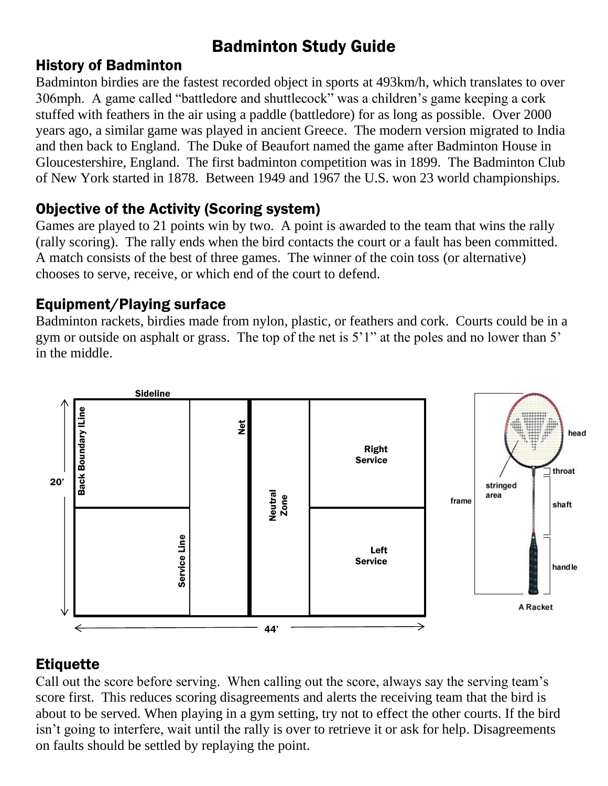# Badminton Study Guide

### History of Badminton

Badminton birdies are the fastest recorded object in sports at 493km/h, which translates to over 306mph. A game called "battledore and shuttlecock" was a children's game keeping a cork stuffed with feathers in the air using a paddle (battledore) for as long as possible. Over 2000 years ago, a similar game was played in ancient Greece. The modern version migrated to India and then back to England. The Duke of Beaufort named the game after Badminton House in Gloucestershire, England. The first badminton competition was in 1899. The Badminton Club of New York started in 1878. Between 1949 and 1967 the U.S. won 23 world championships.

# Objective of the Activity (Scoring system)

Games are played to 21 points win by two. A point is awarded to the team that wins the rally (rally scoring). The rally ends when the bird contacts the court or a fault has been committed. A match consists of the best of three games. The winner of the coin toss (or alternative) chooses to serve, receive, or which end of the court to defend.

# Equipment/Playing surface

Badminton rackets, birdies made from nylon, plastic, or feathers and cork. Courts could be in a gym or outside on asphalt or grass. The top of the net is 5'1" at the poles and no lower than 5' in the middle.



# **Etiquette**

Call out the score before serving. When calling out the score, always say the serving team's score first. This reduces scoring disagreements and alerts the receiving team that the bird is about to be served. When playing in a gym setting, try not to effect the other courts. If the bird isn't going to interfere, wait until the rally is over to retrieve it or ask for help. Disagreements on faults should be settled by replaying the point.